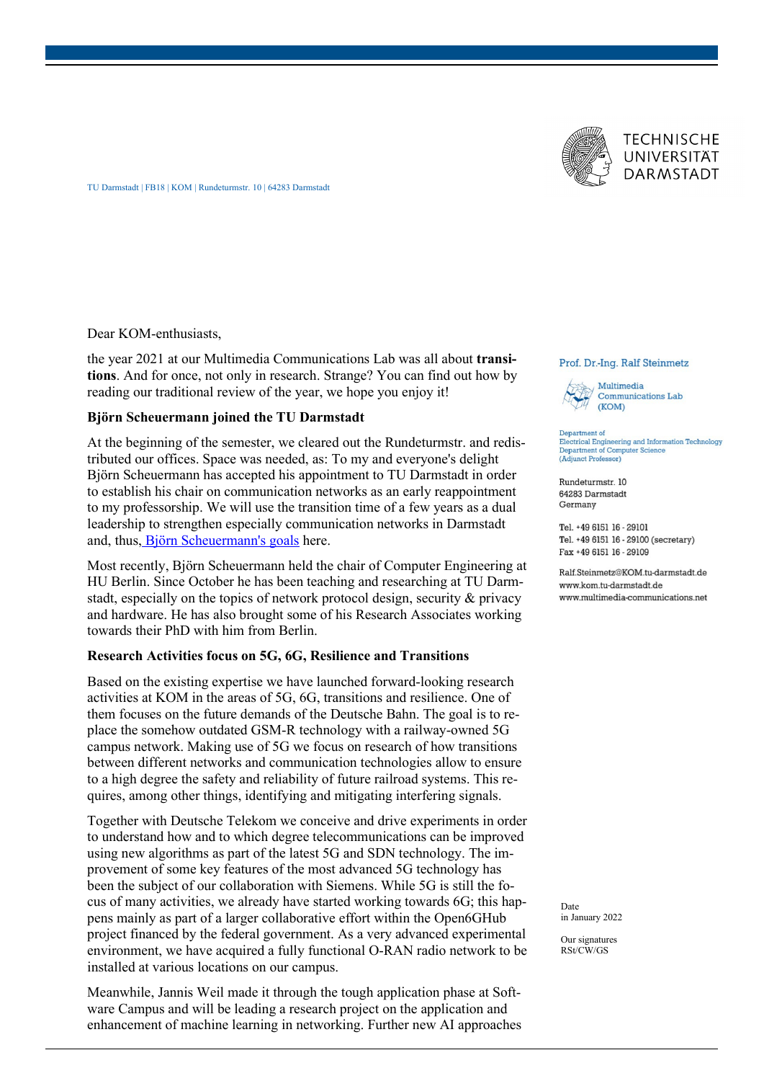



TU Darmstadt | FB18 | KOM | Rundeturmstr. 10 | 64283 Darmstadt

Dear KOM-enthusiasts,

the year 2021 at our Multimedia Communications Lab was all about **transitions**. And for once, not only in research. Strange? You can find out how by reading our traditional review of the year, we hope you enjoy it!

### **Björn Scheuermann joined the TU Darmstadt**

At the beginning of the semester, we cleared out the Rundeturmstr. and redistributed our offices. Space was needed, as: To my and everyone's delight Björn Scheuermann has accepted his appointment to TU Darmstadt in order to establish his chair on communication networks as an early reappointment to my professorship. We will use the transition time of a few years as a dual leadership to strengthen especially communication networks in Darmstadt and, thus, [Björn Scheuermann's goals](https://blog.multimedia-communications.net/neuer-prof-bjoern-scheuermann/) here.

Most recently, Björn Scheuermann held the chair of Computer Engineering at HU Berlin. Since October he has been teaching and researching at TU Darmstadt, especially on the topics of network protocol design, security & privacy and hardware. He has also brought some of his Research Associates working towards their PhD with him from Berlin.

## **Research Activities focus on 5G, 6G, Resilience and Transitions**

Based on the existing expertise we have launched forward-looking research activities at KOM in the areas of 5G, 6G, transitions and resilience. One of them focuses on the future demands of the Deutsche Bahn. The goal is to replace the somehow outdated GSM-R technology with a railway-owned 5G campus network. Making use of 5G we focus on research of how transitions between different networks and communication technologies allow to ensure to a high degree the safety and reliability of future railroad systems. This requires, among other things, identifying and mitigating interfering signals.

Together with Deutsche Telekom we conceive and drive experiments in order to understand how and to which degree telecommunications can be improved using new algorithms as part of the latest 5G and SDN technology. The improvement of some key features of the most advanced 5G technology has been the subject of our collaboration with Siemens. While 5G is still the focus of many activities, we already have started working towards 6G; this happens mainly as part of a larger collaborative effort within the Open6GHub project financed by the federal government. As a very advanced experimental environment, we have acquired a fully functional O-RAN radio network to be installed at various locations on our campus.

Meanwhile, Jannis Weil made it through the tough application phase at Software Campus and will be leading a research project on the application and enhancement of machine learning in networking. Further new AI approaches

#### Prof. Dr.-Ing. Ralf Steinmetz



Electrical Engineering and Information Technology Department of Computer Science<br>(Adjunct Professor)

Rundeturmstr. 10 64283 Darmstadt Germany

Tel. +49 6151 16 - 29101 Tel. +49 6151 16 - 29100 (secretary) Fax +49 6151 16 - 29109

Ralf.Steinmetz@KOM.tu-darmstadt.de www.kom.tu-darmstadt.de www.multimedia-communications.net

Date in January 2022

Our signatures RSt/CW/GS